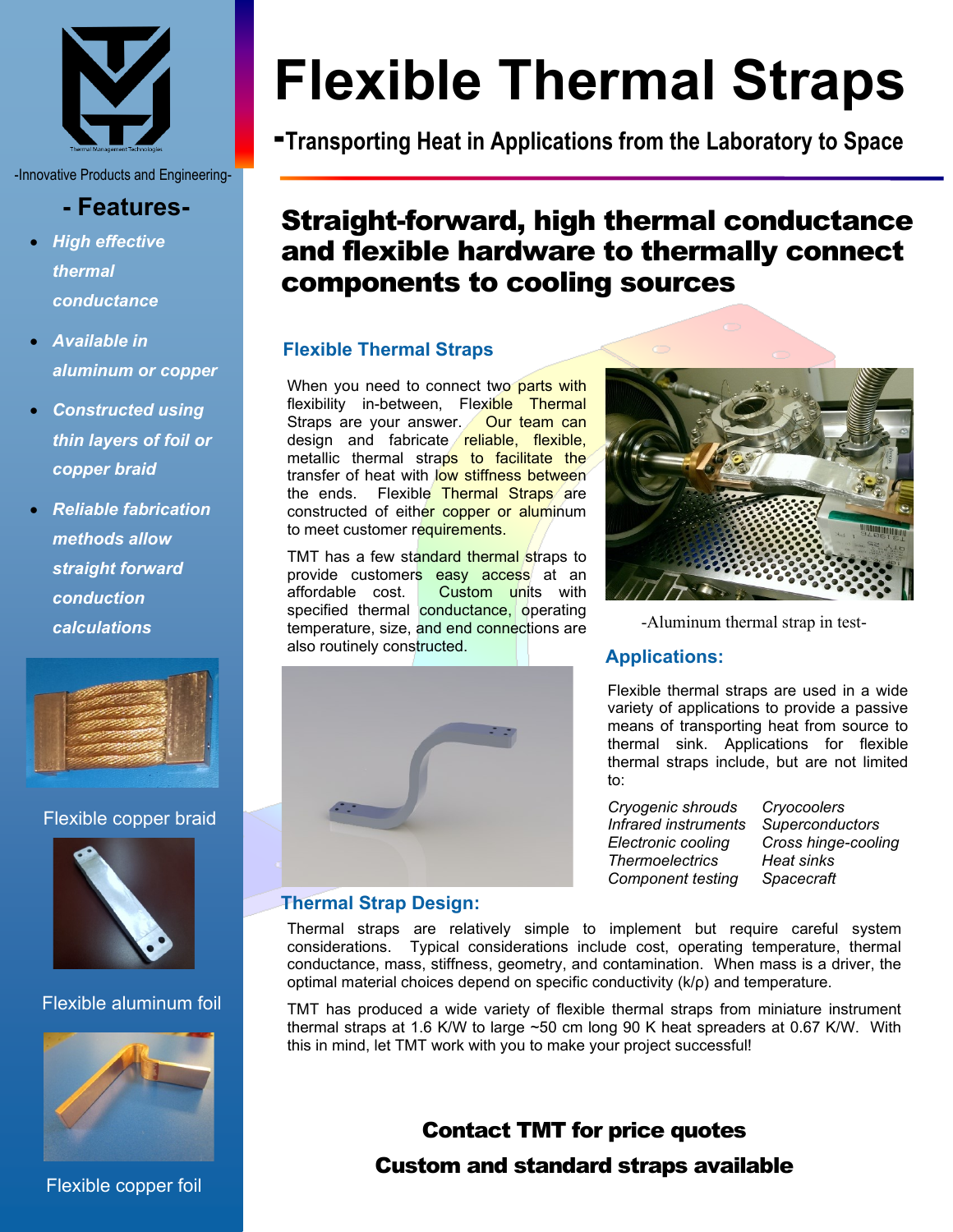

-Innovative Products and Engineering-

# **- Features-**

- *High effective thermal conductance*
- *Available in aluminum or copper*
- *Constructed using thin layers of foil or copper braid*
- *Reliable fabrication methods allow straight forward conduction calculations*



## Flexible copper braid



# Flexible aluminum foil



Flexible copper foil

# **Flexible Thermal Straps**

**-Transporting Heat in Applications from the Laboratory to Space**

# Straight-forward, high thermal conductance and flexible hardware to thermally connect components to cooling sources

# **Flexible Thermal Straps**

When you need to connect two parts with flexibility in-between, Flexible Thermal Straps are your answer. Our team can design and fabricate reliable, flexible, metallic thermal straps to facilitate the transfer of heat with low stiffness between the ends. Flexible Thermal Straps are constructed of either copper or aluminum to meet customer requirements.

TMT has a few standard thermal straps to provide customers easy access at an affordable cost. Custom units with specified thermal conductance, operating temperature, size, and end connections are also routinely constructed.



-Aluminum thermal strap in test-

## **Applications:**

Flexible thermal straps are used in a wide variety of applications to provide a passive means of transporting heat from source to thermal sink. Applications for flexible thermal straps include, but are not limited to:

*Cryogenic shrouds Cryocoolers Infrared instruments Superconductors Electronic cooling Cross hinge-cooling Thermoelectrics Heat sinks Component testing Spacecraft*

# **Thermal Strap Design:**

Thermal straps are relatively simple to implement but require careful system considerations. Typical considerations include cost, operating temperature, thermal conductance, mass, stiffness, geometry, and contamination. When mass is a driver, the optimal material choices depend on specific conductivity (k/ρ) and temperature.

TMT has produced a wide variety of flexible thermal straps from miniature instrument thermal straps at 1.6 K/W to large ~50 cm long 90 K heat spreaders at 0.67 K/W. With this in mind, let TMT work with you to make your project successful!

# Contact TMT for price quotes

# Custom and standard straps available